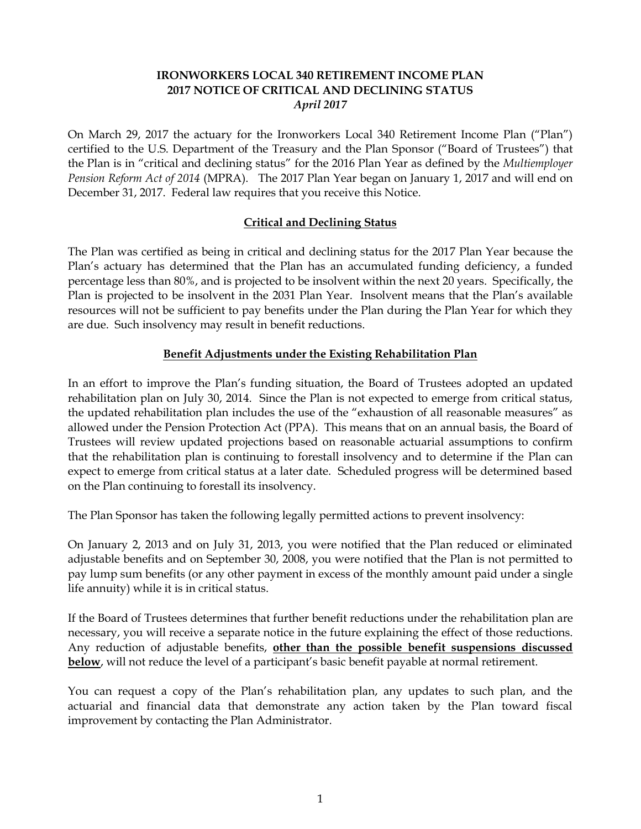# **IRONWORKERS LOCAL 340 RETIREMENT INCOME PLAN 2017 NOTICE OF CRITICAL AND DECLINING STATUS** *April 2017*

On March 29, 2017 the actuary for the Ironworkers Local 340 Retirement Income Plan ("Plan") certified to the U.S. Department of the Treasury and the Plan Sponsor ("Board of Trustees") that the Plan is in "critical and declining status" for the 2016 Plan Year as defined by the *Multiemployer Pension Reform Act of 2014* (MPRA). The 2017 Plan Year began on January 1, 2017 and will end on December 31, 2017. Federal law requires that you receive this Notice.

# **Critical and Declining Status**

The Plan was certified as being in critical and declining status for the 2017 Plan Year because the Plan's actuary has determined that the Plan has an accumulated funding deficiency, a funded percentage less than 80%, and is projected to be insolvent within the next 20 years. Specifically, the Plan is projected to be insolvent in the 2031 Plan Year. Insolvent means that the Plan's available resources will not be sufficient to pay benefits under the Plan during the Plan Year for which they are due. Such insolvency may result in benefit reductions.

# **Benefit Adjustments under the Existing Rehabilitation Plan**

In an effort to improve the Plan's funding situation, the Board of Trustees adopted an updated rehabilitation plan on July 30, 2014. Since the Plan is not expected to emerge from critical status, the updated rehabilitation plan includes the use of the "exhaustion of all reasonable measures" as allowed under the Pension Protection Act (PPA). This means that on an annual basis, the Board of Trustees will review updated projections based on reasonable actuarial assumptions to confirm that the rehabilitation plan is continuing to forestall insolvency and to determine if the Plan can expect to emerge from critical status at a later date. Scheduled progress will be determined based on the Plan continuing to forestall its insolvency.

The Plan Sponsor has taken the following legally permitted actions to prevent insolvency:

On January 2, 2013 and on July 31, 2013, you were notified that the Plan reduced or eliminated adjustable benefits and on September 30, 2008, you were notified that the Plan is not permitted to pay lump sum benefits (or any other payment in excess of the monthly amount paid under a single life annuity) while it is in critical status.

If the Board of Trustees determines that further benefit reductions under the rehabilitation plan are necessary, you will receive a separate notice in the future explaining the effect of those reductions. Any reduction of adjustable benefits, **other than the possible benefit suspensions discussed below**, will not reduce the level of a participant's basic benefit payable at normal retirement.

You can request a copy of the Plan's rehabilitation plan, any updates to such plan, and the actuarial and financial data that demonstrate any action taken by the Plan toward fiscal improvement by contacting the Plan Administrator.